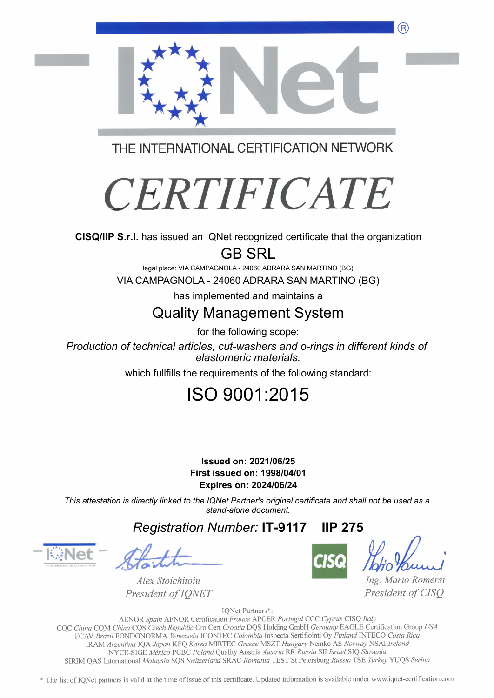

THE INTERNATIONAL CERTIFICATION NETWORK

# **CERTIFICATE**

**CISQ/IIP S.r.l.** has issued an IQNet recognized certificate that the organization

GB SRL

legal place: VIA CAMPAGNOLA - 24060 ADRARA SAN MARTINO (BG) VIA CAMPAGNOLA - 24060 ADRARA SAN MARTINO (BG)

has implemented and maintains a

## Quality Management System

for the following scope:

*Production of technical articles, cut-washers and o-rings in different kinds of elastomeric materials.*

which fullfills the requirements of the following standard:

# ISO 9001:2015

#### **First issued on: 1998/04/01 Issued on: 2021/06/25 Expires on: 2024/06/24**

*This attestation is directly linked to the IQNet Partner's original certificate and shall not be used as a stand-alone document.*

*Registration Number:* **IT-9117 IIP 275**

Alex Stoichitoiu President of IQNET



Ing. Mario Romersi President of CISQ

IQNet Partners\*:

AENOR Spain AFNOR Certification France APCER Portugal CCC Cyprus CISQ Italy CQC China CQM China CQS Czech Republic Cro Cert Croatia DQS Holding GmbH Germany EAGLE Certification Group USA FCAV Brazil FONDONORMA Venezuela ICONTEC Colombia Inspecta Sertifiointi Oy Finland INTECO Costa Rica IRAM Argentina JQA Japan KFQ Korea MIRTEC Greece MSZT Hungary Nemko AS Norway NSAI Ireland NYCE-SIGE México PCBC Poland Quality Austria Austria RR Russia SII Israel SIQ Slovenia SIRIM QAS International Malaysia SQS Switzerland SRAC Romania TEST St Petersburg Russia TSE Turkey YUQS Serbia

\* The list of IONet partners is valid at the time of issue of this certificate. Updated information is available under www.iqnet-certification.com